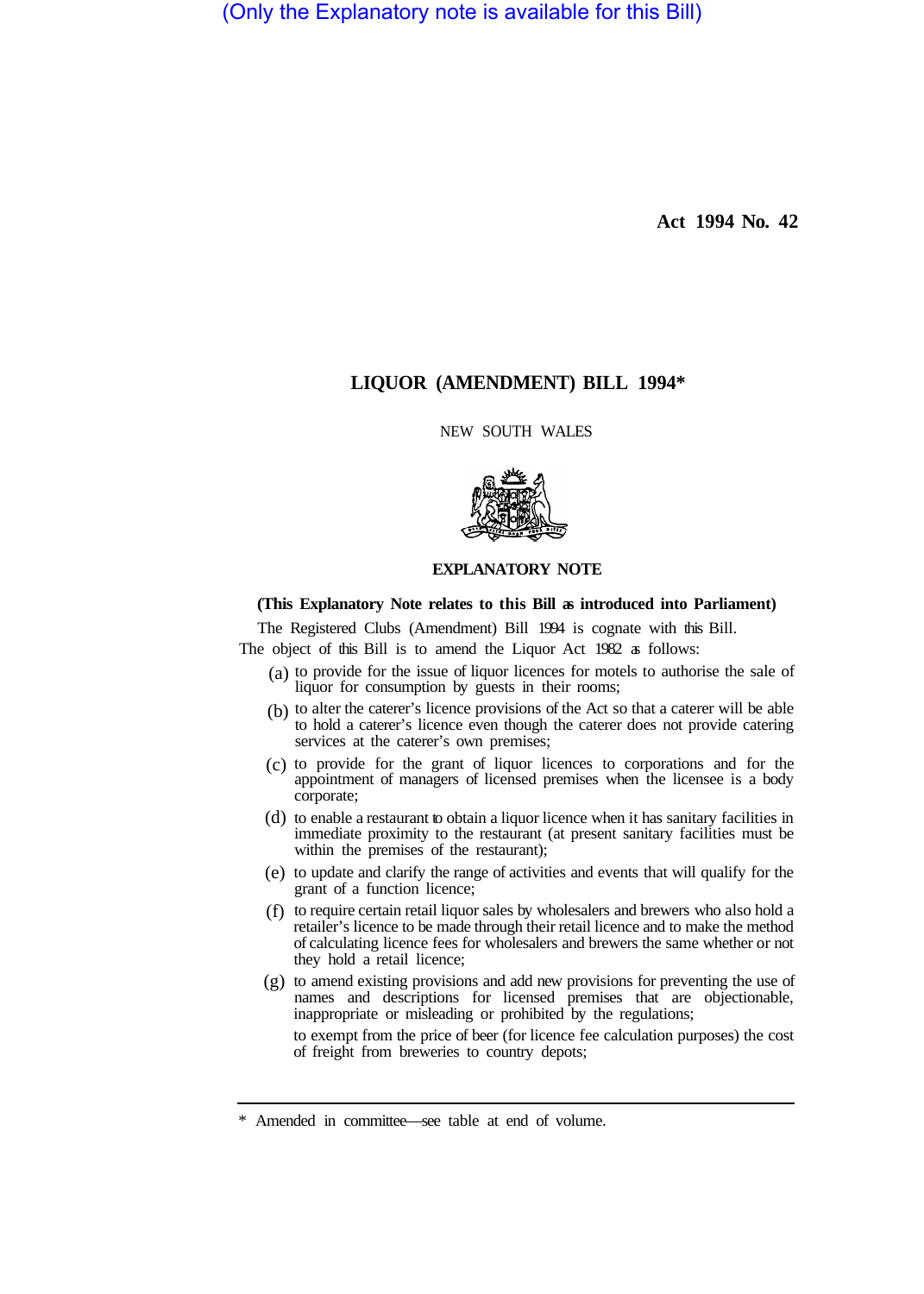(Only the Explanatory note is available for this Bill)

**Act 1994 No. 42** 

## **LIQUOR (AMENDMENT) BILL 1994\***

NEW SOUTH WALES



## **EXPLANATORY NOTE**

## **(This Explanatory Note relates to this Bill as introduced into Parliament)**

The Registered Clubs (Amendment) Bill 1994 is cognate with this Bill.

The object of this Bill is to amend the Liquor Act 1982 as follows:

- $(a)$  to provide for the issue of liquor licences for motels to authorise the sale of liquor for consumption by guests in their rooms;
- $(b)$  to alter the caterer's licence provisions of the Act so that a caterer will be able to hold a caterer's licence even though the caterer does not provide catering services at the caterer's own premises;
- to provide for the grant of liquor licences to corporations and for the (c) appointment of managers of licensed premises when the licensee is a body corporate;
- (d) to enable a restaurant to obtain a liquor licence when it has sanitary facilities in immediate proximity to the restaurant (at present sanitary facilities must be within the premises of the restaurant);
- to update and clarify the range of activities and events that will qualify for the (e) grant of a function licence;
- (f) to require certain retail liquor sales by wholesalers and brewers who also hold a retailer's licence to be made through their retail licence and to make the method of calculating licence fees for wholesalers and brewers the same whether or not they hold a retail licence;
- (g) to amend existing provisions and add new provisions for preventing the use of names and descriptions for licensed premises that are objectionable, inappropriate or misleading or prohibited by the regulations;

to exempt from the price of beer (for licence fee calculation purposes) the cost of freight from breweries to country depots;

<sup>\*</sup> Amended in committee—see table at end of volume.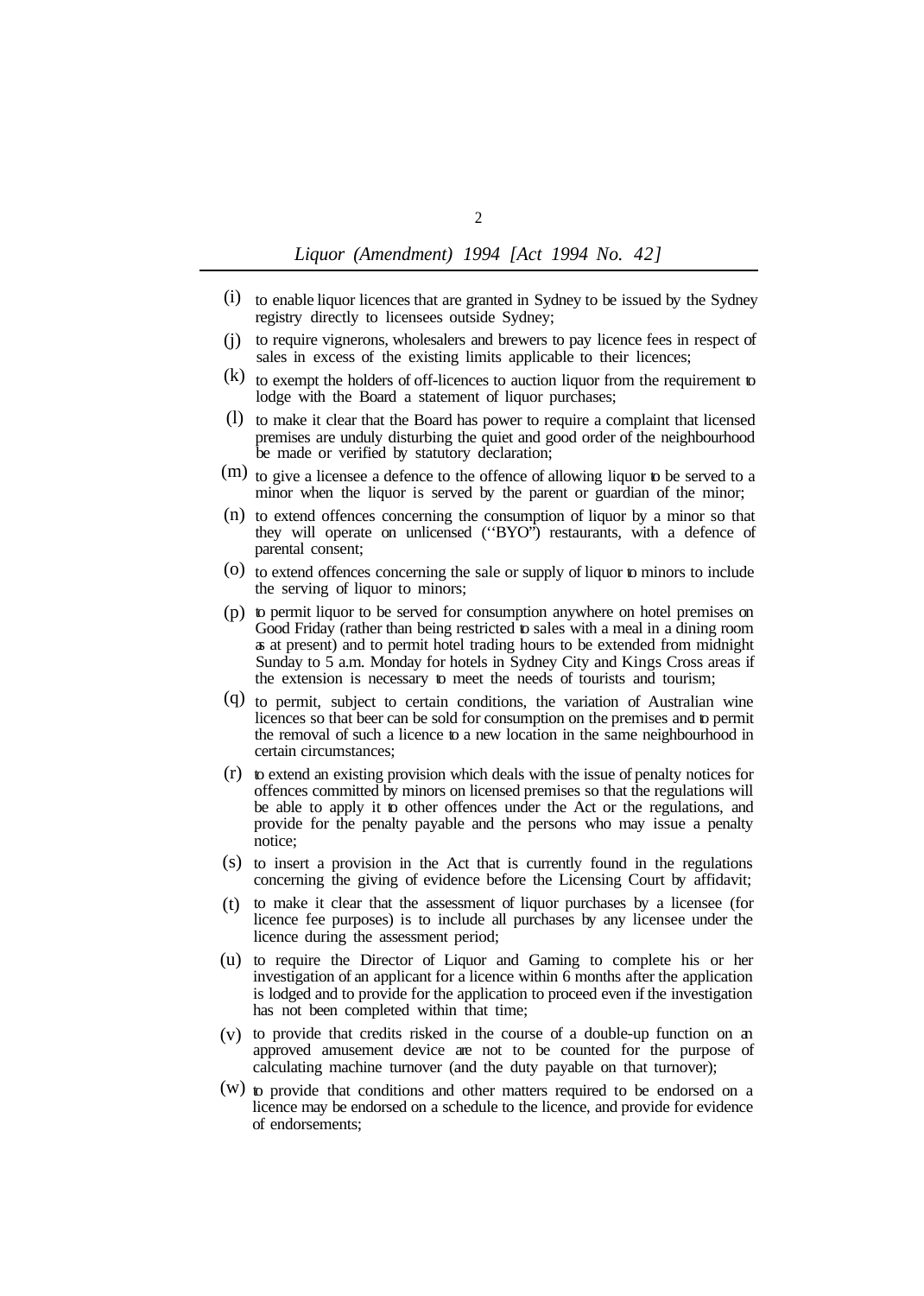- (i) to enable liquor licences that are granted in Sydney to be issued by the Sydney registry directly to licensees outside Sydney;
- (j) to require vignerons, wholesalers and brewers to pay licence fees in respect of sales in excess of the existing limits applicable to their licences;
- $(k)$  to exempt the holders of off-licences to auction liquor from the requirement to lodge with the Board a statement of liquor purchases;
- (1) to make it clear that the Board has power to require a complaint that licensed premises are unduly disturbing the quiet and good order of the neighbourhood be made or verified by statutory declaration;
- $(m)$  to give a licensee a defence to the offence of allowing liquor to be served to a minor when the liquor is served by the parent or guardian of the minor;
- (n) to extend offences concerning the consumption of liquor by a minor so that they will operate on unlicensed (''BYO") restaurants, with a defence of parental consent;
- (o) to extend offences concerning the sale or supply of liquor to minors to include the serving of liquor to minors;
- (p) to permit liquor to be served for consumption anywhere on hotel premises on Good Friday (rather than being restricted to sales with a meal in a dining room as at present) and to permit hotel trading hours to be extended from midnight Sunday to 5 a.m. Monday for hotels in Sydney City and Kings Cross areas if the extension is necessary to meet the needs of tourists and tourism;
- to permit, subject to certain conditions, the variation of Australian wine (q) licences so that beer can be sold for consumption on the premises and to permit the removal of such a licence to a new location in the same neighbourhood in certain circumstances;
- $(r)$  to extend an existing provision which deals with the issue of penalty notices for offences committed by minors on licensed premises so that the regulations will be able to apply it to other offences under the Act or the regulations, and provide for the penalty payable and the persons who may issue a penalty notice;
- (s) to insert a provision in the Act that is currently found in the regulations concerning the giving of evidence before the Licensing Court by affidavit;
- to make it clear that the assessment of liquor purchases by a licensee (for (t) licence fee purposes) is to include all purchases by any licensee under the licence during the assessment period;
- (u) to require the Director of Liquor and Gaming to complete his or her investigation of an applicant for a licence within 6 months after the application is lodged and to provide for the application to proceed even if the investigation has not been completed within that time;
- to provide that credits risked in the course of a double-up function on an (v) approved amusement device are not to be counted for the purpose of calculating machine turnover (and the duty payable on that turnover);
- $(w)$  to provide that conditions and other matters required to be endorsed on a licence may be endorsed on a schedule to the licence, and provide for evidence of endorsements;